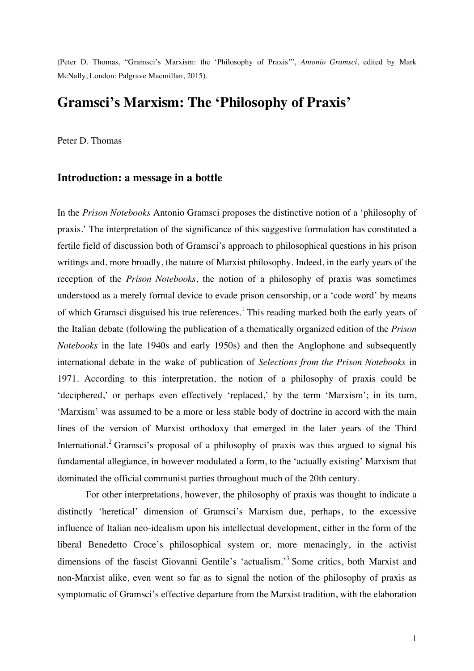(Peter D. Thomas, "Gramsci's Marxism: the 'Philosophy of Praxis'", *Antonio Gramsci*, edited by Mark McNally, London: Palgrave Macmillan, 2015).

# **Gramsci's Marxism: The 'Philosophy of Praxis'**

Peter D. Thomas

#### **Introduction: a message in a bottle**

In the *Prison Notebooks* Antonio Gramsci proposes the distinctive notion of a 'philosophy of praxis.' The interpretation of the significance of this suggestive formulation has constituted a fertile field of discussion both of Gramsci's approach to philosophical questions in his prison writings and, more broadly, the nature of Marxist philosophy. Indeed, in the early years of the reception of the *Prison Notebooks*, the notion of a philosophy of praxis was sometimes understood as a merely formal device to evade prison censorship, or a 'code word' by means of which Gramsci disguised his true references.<sup>1</sup> This reading marked both the early years of the Italian debate (following the publication of a thematically organized edition of the *Prison Notebooks* in the late 1940s and early 1950s) and then the Anglophone and subsequently international debate in the wake of publication of *Selections from the Prison Notebooks* in 1971. According to this interpretation, the notion of a philosophy of praxis could be 'deciphered,' or perhaps even effectively 'replaced,' by the term 'Marxism'; in its turn, 'Marxism' was assumed to be a more or less stable body of doctrine in accord with the main lines of the version of Marxist orthodoxy that emerged in the later years of the Third International.<sup>2</sup> Gramsci's proposal of a philosophy of praxis was thus argued to signal his fundamental allegiance, in however modulated a form, to the 'actually existing' Marxism that dominated the official communist parties throughout much of the 20th century.

For other interpretations, however, the philosophy of praxis was thought to indicate a distinctly 'heretical' dimension of Gramsci's Marxism due, perhaps, to the excessive influence of Italian neo-idealism upon his intellectual development, either in the form of the liberal Benedetto Croce's philosophical system or, more menacingly, in the activist dimensions of the fascist Giovanni Gentile's 'actualism.'<sup>3</sup> Some critics, both Marxist and non-Marxist alike, even went so far as to signal the notion of the philosophy of praxis as symptomatic of Gramsci's effective departure from the Marxist tradition, with the elaboration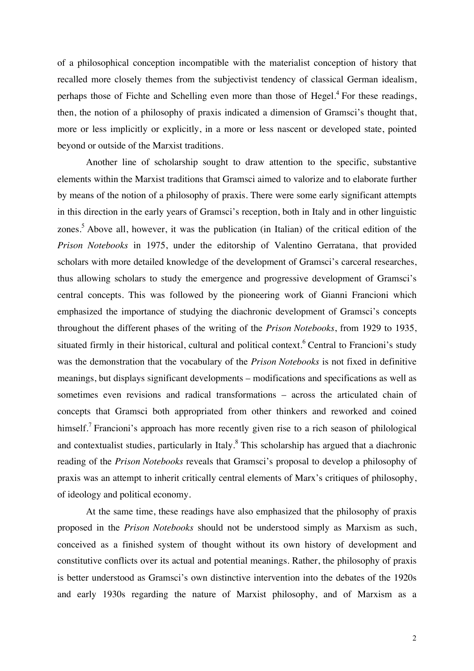of a philosophical conception incompatible with the materialist conception of history that recalled more closely themes from the subjectivist tendency of classical German idealism, perhaps those of Fichte and Schelling even more than those of  $Hegel<sup>4</sup>$  For these readings, then, the notion of a philosophy of praxis indicated a dimension of Gramsci's thought that, more or less implicitly or explicitly, in a more or less nascent or developed state, pointed beyond or outside of the Marxist traditions.

Another line of scholarship sought to draw attention to the specific, substantive elements within the Marxist traditions that Gramsci aimed to valorize and to elaborate further by means of the notion of a philosophy of praxis. There were some early significant attempts in this direction in the early years of Gramsci's reception, both in Italy and in other linguistic zones.<sup>5</sup> Above all, however, it was the publication (in Italian) of the critical edition of the *Prison Notebooks* in 1975, under the editorship of Valentino Gerratana, that provided scholars with more detailed knowledge of the development of Gramsci's carceral researches, thus allowing scholars to study the emergence and progressive development of Gramsci's central concepts. This was followed by the pioneering work of Gianni Francioni which emphasized the importance of studying the diachronic development of Gramsci's concepts throughout the different phases of the writing of the *Prison Notebooks*, from 1929 to 1935, situated firmly in their historical, cultural and political context.<sup>6</sup> Central to Francioni's study was the demonstration that the vocabulary of the *Prison Notebooks* is not fixed in definitive meanings, but displays significant developments – modifications and specifications as well as sometimes even revisions and radical transformations – across the articulated chain of concepts that Gramsci both appropriated from other thinkers and reworked and coined himself.<sup>7</sup> Francioni's approach has more recently given rise to a rich season of philological and contextualist studies, particularly in Italy.<sup>8</sup> This scholarship has argued that a diachronic reading of the *Prison Notebooks* reveals that Gramsci's proposal to develop a philosophy of praxis was an attempt to inherit critically central elements of Marx's critiques of philosophy, of ideology and political economy.

At the same time, these readings have also emphasized that the philosophy of praxis proposed in the *Prison Notebooks* should not be understood simply as Marxism as such, conceived as a finished system of thought without its own history of development and constitutive conflicts over its actual and potential meanings. Rather, the philosophy of praxis is better understood as Gramsci's own distinctive intervention into the debates of the 1920s and early 1930s regarding the nature of Marxist philosophy, and of Marxism as a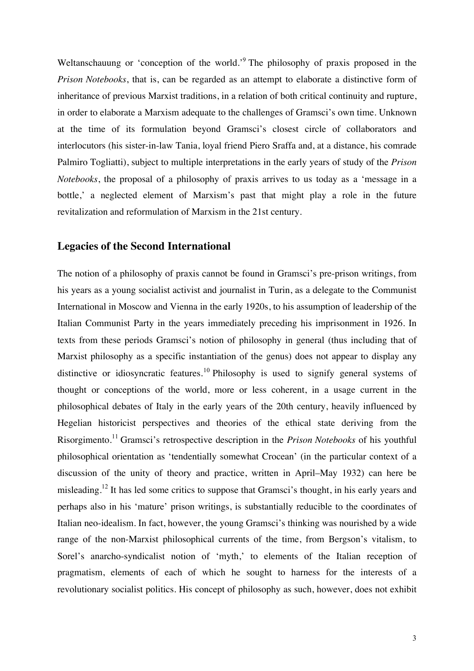Weltanschauung or 'conception of the world.<sup>9</sup> The philosophy of praxis proposed in the *Prison Notebooks*, that is, can be regarded as an attempt to elaborate a distinctive form of inheritance of previous Marxist traditions, in a relation of both critical continuity and rupture, in order to elaborate a Marxism adequate to the challenges of Gramsci's own time. Unknown at the time of its formulation beyond Gramsci's closest circle of collaborators and interlocutors (his sister-in-law Tania, loyal friend Piero Sraffa and, at a distance, his comrade Palmiro Togliatti), subject to multiple interpretations in the early years of study of the *Prison Notebooks*, the proposal of a philosophy of praxis arrives to us today as a 'message in a bottle,' a neglected element of Marxism's past that might play a role in the future revitalization and reformulation of Marxism in the 21st century.

#### **Legacies of the Second International**

The notion of a philosophy of praxis cannot be found in Gramsci's pre-prison writings, from his years as a young socialist activist and journalist in Turin, as a delegate to the Communist International in Moscow and Vienna in the early 1920s, to his assumption of leadership of the Italian Communist Party in the years immediately preceding his imprisonment in 1926. In texts from these periods Gramsci's notion of philosophy in general (thus including that of Marxist philosophy as a specific instantiation of the genus) does not appear to display any distinctive or idiosyncratic features.<sup>10</sup> Philosophy is used to signify general systems of thought or conceptions of the world, more or less coherent, in a usage current in the philosophical debates of Italy in the early years of the 20th century, heavily influenced by Hegelian historicist perspectives and theories of the ethical state deriving from the Risorgimento. <sup>11</sup> Gramsci's retrospective description in the *Prison Notebooks* of his youthful philosophical orientation as 'tendentially somewhat Crocean' (in the particular context of a discussion of the unity of theory and practice, written in April–May 1932) can here be misleading.<sup>12</sup> It has led some critics to suppose that Gramsci's thought, in his early years and perhaps also in his 'mature' prison writings, is substantially reducible to the coordinates of Italian neo-idealism. In fact, however, the young Gramsci's thinking was nourished by a wide range of the non-Marxist philosophical currents of the time, from Bergson's vitalism, to Sorel's anarcho-syndicalist notion of 'myth,' to elements of the Italian reception of pragmatism, elements of each of which he sought to harness for the interests of a revolutionary socialist politics. His concept of philosophy as such, however, does not exhibit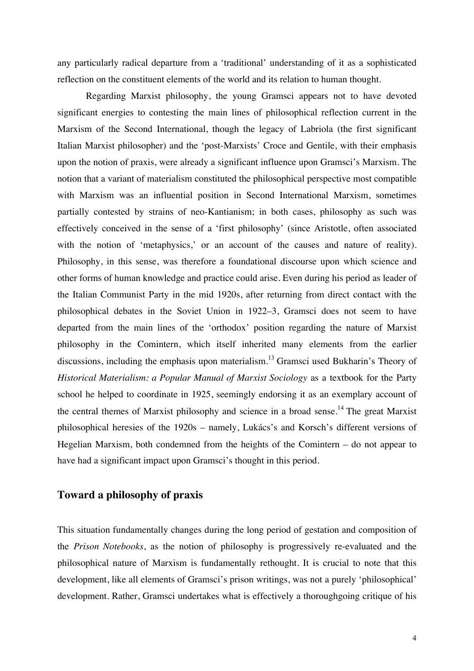any particularly radical departure from a 'traditional' understanding of it as a sophisticated reflection on the constituent elements of the world and its relation to human thought.

Regarding Marxist philosophy, the young Gramsci appears not to have devoted significant energies to contesting the main lines of philosophical reflection current in the Marxism of the Second International, though the legacy of Labriola (the first significant Italian Marxist philosopher) and the 'post-Marxists' Croce and Gentile, with their emphasis upon the notion of praxis, were already a significant influence upon Gramsci's Marxism. The notion that a variant of materialism constituted the philosophical perspective most compatible with Marxism was an influential position in Second International Marxism, sometimes partially contested by strains of neo-Kantianism; in both cases, philosophy as such was effectively conceived in the sense of a 'first philosophy' (since Aristotle, often associated with the notion of 'metaphysics,' or an account of the causes and nature of reality). Philosophy, in this sense, was therefore a foundational discourse upon which science and other forms of human knowledge and practice could arise. Even during his period as leader of the Italian Communist Party in the mid 1920s, after returning from direct contact with the philosophical debates in the Soviet Union in 1922–3, Gramsci does not seem to have departed from the main lines of the 'orthodox' position regarding the nature of Marxist philosophy in the Comintern, which itself inherited many elements from the earlier discussions, including the emphasis upon materialism.<sup>13</sup> Gramsci used Bukharin's Theory of *Historical Materialism: a Popular Manual of Marxist Sociology* as a textbook for the Party school he helped to coordinate in 1925, seemingly endorsing it as an exemplary account of the central themes of Marxist philosophy and science in a broad sense.<sup>14</sup> The great Marxist philosophical heresies of the 1920s – namely, Lukács's and Korsch's different versions of Hegelian Marxism, both condemned from the heights of the Comintern – do not appear to have had a significant impact upon Gramsci's thought in this period.

## **Toward a philosophy of praxis**

This situation fundamentally changes during the long period of gestation and composition of the *Prison Notebooks*, as the notion of philosophy is progressively re-evaluated and the philosophical nature of Marxism is fundamentally rethought. It is crucial to note that this development, like all elements of Gramsci's prison writings, was not a purely 'philosophical' development. Rather, Gramsci undertakes what is effectively a thoroughgoing critique of his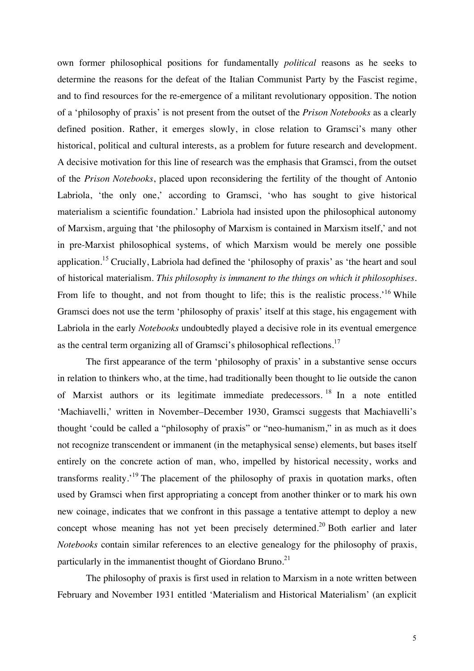own former philosophical positions for fundamentally *political* reasons as he seeks to determine the reasons for the defeat of the Italian Communist Party by the Fascist regime, and to find resources for the re-emergence of a militant revolutionary opposition. The notion of a 'philosophy of praxis' is not present from the outset of the *Prison Notebooks* as a clearly defined position. Rather, it emerges slowly, in close relation to Gramsci's many other historical, political and cultural interests, as a problem for future research and development. A decisive motivation for this line of research was the emphasis that Gramsci, from the outset of the *Prison Notebooks*, placed upon reconsidering the fertility of the thought of Antonio Labriola, 'the only one,' according to Gramsci, 'who has sought to give historical materialism a scientific foundation.' Labriola had insisted upon the philosophical autonomy of Marxism, arguing that 'the philosophy of Marxism is contained in Marxism itself,' and not in pre-Marxist philosophical systems, of which Marxism would be merely one possible application.<sup>15</sup> Crucially, Labriola had defined the 'philosophy of praxis' as 'the heart and soul of historical materialism. *This philosophy is immanent to the things on which it philosophises.*  From life to thought, and not from thought to life; this is the realistic process.<sup> $16$ </sup> While Gramsci does not use the term 'philosophy of praxis' itself at this stage, his engagement with Labriola in the early *Notebooks* undoubtedly played a decisive role in its eventual emergence as the central term organizing all of Gramsci's philosophical reflections.<sup>17</sup>

The first appearance of the term 'philosophy of praxis' in a substantive sense occurs in relation to thinkers who, at the time, had traditionally been thought to lie outside the canon of Marxist authors or its legitimate immediate predecessors.<sup>18</sup> In a note entitled 'Machiavelli,' written in November–December 1930, Gramsci suggests that Machiavelli's thought 'could be called a "philosophy of praxis" or "neo-humanism," in as much as it does not recognize transcendent or immanent (in the metaphysical sense) elements, but bases itself entirely on the concrete action of man, who, impelled by historical necessity, works and transforms reality.<sup> $19$ </sup> The placement of the philosophy of praxis in quotation marks, often used by Gramsci when first appropriating a concept from another thinker or to mark his own new coinage, indicates that we confront in this passage a tentative attempt to deploy a new concept whose meaning has not yet been precisely determined.<sup>20</sup> Both earlier and later *Notebooks* contain similar references to an elective genealogy for the philosophy of praxis, particularly in the immanentist thought of Giordano Bruno.<sup>21</sup>

The philosophy of praxis is first used in relation to Marxism in a note written between February and November 1931 entitled 'Materialism and Historical Materialism' (an explicit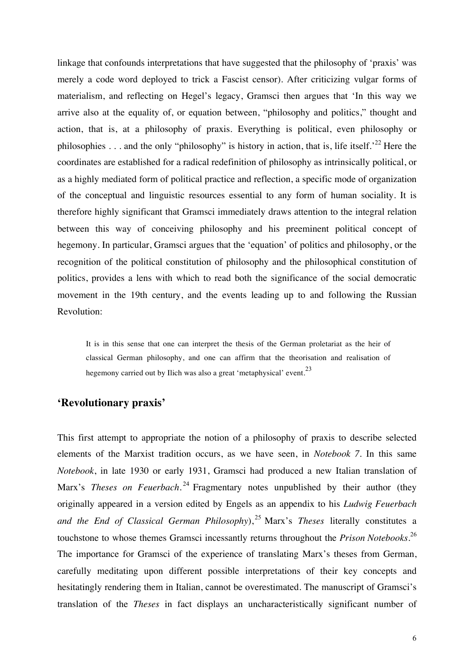linkage that confounds interpretations that have suggested that the philosophy of 'praxis' was merely a code word deployed to trick a Fascist censor). After criticizing vulgar forms of materialism, and reflecting on Hegel's legacy, Gramsci then argues that 'In this way we arrive also at the equality of, or equation between, "philosophy and politics," thought and action, that is, at a philosophy of praxis. Everything is political, even philosophy or philosophies ... and the only "philosophy" is history in action, that is, life itself.<sup>22</sup> Here the coordinates are established for a radical redefinition of philosophy as intrinsically political, or as a highly mediated form of political practice and reflection, a specific mode of organization of the conceptual and linguistic resources essential to any form of human sociality. It is therefore highly significant that Gramsci immediately draws attention to the integral relation between this way of conceiving philosophy and his preeminent political concept of hegemony. In particular, Gramsci argues that the 'equation' of politics and philosophy, or the recognition of the political constitution of philosophy and the philosophical constitution of politics, provides a lens with which to read both the significance of the social democratic movement in the 19th century, and the events leading up to and following the Russian Revolution:

It is in this sense that one can interpret the thesis of the German proletariat as the heir of classical German philosophy, and one can affirm that the theorisation and realisation of hegemony carried out by Ilich was also a great 'metaphysical' event.<sup>23</sup>

# **'Revolutionary praxis'**

This first attempt to appropriate the notion of a philosophy of praxis to describe selected elements of the Marxist tradition occurs, as we have seen, in *Notebook 7*. In this same *Notebook*, in late 1930 or early 1931, Gramsci had produced a new Italian translation of Marx's *Theses on Feuerbach*. <sup>24</sup> Fragmentary notes unpublished by their author (they originally appeared in a version edited by Engels as an appendix to his *Ludwig Feuerbach and the End of Classical German Philosophy*), <sup>25</sup> Marx's *Theses* literally constitutes a touchstone to whose themes Gramsci incessantly returns throughout the *Prison Notebooks*. 26 The importance for Gramsci of the experience of translating Marx's theses from German, carefully meditating upon different possible interpretations of their key concepts and hesitatingly rendering them in Italian, cannot be overestimated. The manuscript of Gramsci's translation of the *Theses* in fact displays an uncharacteristically significant number of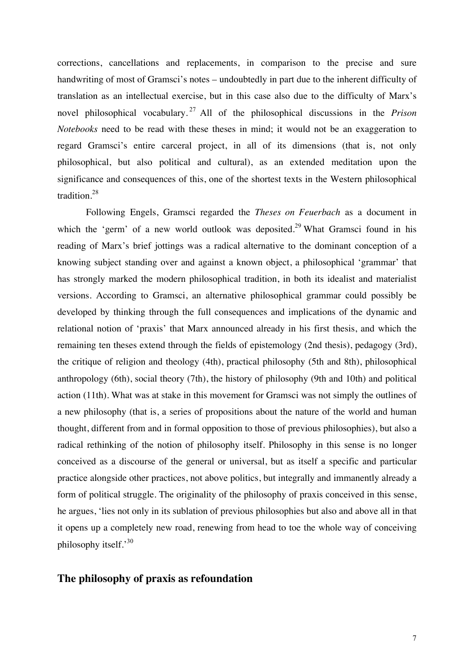corrections, cancellations and replacements, in comparison to the precise and sure handwriting of most of Gramsci's notes – undoubtedly in part due to the inherent difficulty of translation as an intellectual exercise, but in this case also due to the difficulty of Marx's novel philosophical vocabulary. <sup>27</sup> All of the philosophical discussions in the *Prison Notebooks* need to be read with these theses in mind; it would not be an exaggeration to regard Gramsci's entire carceral project, in all of its dimensions (that is, not only philosophical, but also political and cultural), as an extended meditation upon the significance and consequences of this, one of the shortest texts in the Western philosophical tradition.<sup>28</sup>

Following Engels, Gramsci regarded the *Theses on Feuerbach* as a document in which the 'germ' of a new world outlook was deposited.<sup>29</sup> What Gramsci found in his reading of Marx's brief jottings was a radical alternative to the dominant conception of a knowing subject standing over and against a known object, a philosophical 'grammar' that has strongly marked the modern philosophical tradition, in both its idealist and materialist versions. According to Gramsci, an alternative philosophical grammar could possibly be developed by thinking through the full consequences and implications of the dynamic and relational notion of 'praxis' that Marx announced already in his first thesis, and which the remaining ten theses extend through the fields of epistemology (2nd thesis), pedagogy (3rd), the critique of religion and theology (4th), practical philosophy (5th and 8th), philosophical anthropology (6th), social theory (7th), the history of philosophy (9th and 10th) and political action (11th). What was at stake in this movement for Gramsci was not simply the outlines of a new philosophy (that is, a series of propositions about the nature of the world and human thought, different from and in formal opposition to those of previous philosophies), but also a radical rethinking of the notion of philosophy itself. Philosophy in this sense is no longer conceived as a discourse of the general or universal, but as itself a specific and particular practice alongside other practices, not above politics, but integrally and immanently already a form of political struggle. The originality of the philosophy of praxis conceived in this sense, he argues, 'lies not only in its sublation of previous philosophies but also and above all in that it opens up a completely new road, renewing from head to toe the whole way of conceiving philosophy itself.'<sup>30</sup>

## **The philosophy of praxis as refoundation**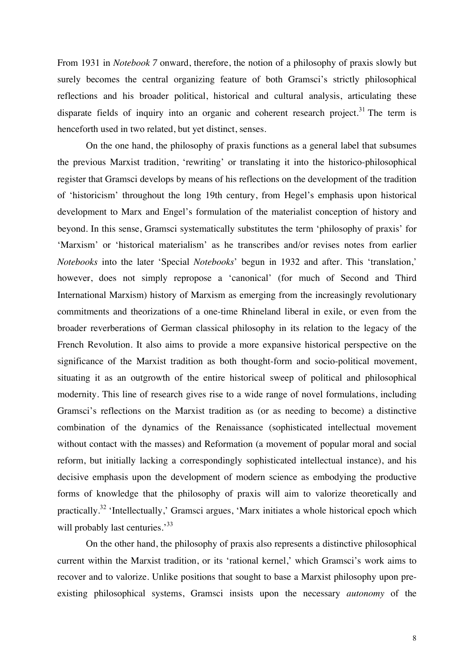From 1931 in *Notebook 7* onward, therefore, the notion of a philosophy of praxis slowly but surely becomes the central organizing feature of both Gramsci's strictly philosophical reflections and his broader political, historical and cultural analysis, articulating these disparate fields of inquiry into an organic and coherent research project.<sup>31</sup> The term is henceforth used in two related, but yet distinct, senses.

On the one hand, the philosophy of praxis functions as a general label that subsumes the previous Marxist tradition, 'rewriting' or translating it into the historico-philosophical register that Gramsci develops by means of his reflections on the development of the tradition of 'historicism' throughout the long 19th century, from Hegel's emphasis upon historical development to Marx and Engel's formulation of the materialist conception of history and beyond. In this sense, Gramsci systematically substitutes the term 'philosophy of praxis' for 'Marxism' or 'historical materialism' as he transcribes and/or revises notes from earlier *Notebooks* into the later 'Special *Notebooks*' begun in 1932 and after. This 'translation,' however, does not simply repropose a 'canonical' (for much of Second and Third International Marxism) history of Marxism as emerging from the increasingly revolutionary commitments and theorizations of a one-time Rhineland liberal in exile, or even from the broader reverberations of German classical philosophy in its relation to the legacy of the French Revolution. It also aims to provide a more expansive historical perspective on the significance of the Marxist tradition as both thought-form and socio-political movement, situating it as an outgrowth of the entire historical sweep of political and philosophical modernity. This line of research gives rise to a wide range of novel formulations, including Gramsci's reflections on the Marxist tradition as (or as needing to become) a distinctive combination of the dynamics of the Renaissance (sophisticated intellectual movement without contact with the masses) and Reformation (a movement of popular moral and social reform, but initially lacking a correspondingly sophisticated intellectual instance), and his decisive emphasis upon the development of modern science as embodying the productive forms of knowledge that the philosophy of praxis will aim to valorize theoretically and practically.<sup>32</sup> 'Intellectually,' Gramsci argues, 'Marx initiates a whole historical epoch which will probably last centuries.<sup>33</sup>

On the other hand, the philosophy of praxis also represents a distinctive philosophical current within the Marxist tradition, or its 'rational kernel,' which Gramsci's work aims to recover and to valorize. Unlike positions that sought to base a Marxist philosophy upon preexisting philosophical systems, Gramsci insists upon the necessary *autonomy* of the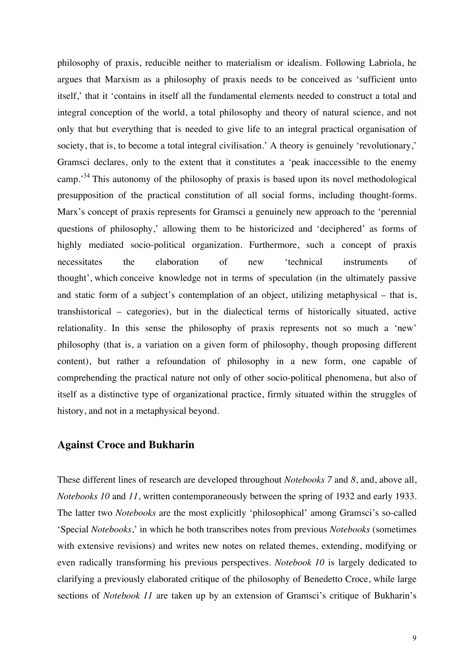philosophy of praxis, reducible neither to materialism or idealism. Following Labriola, he argues that Marxism as a philosophy of praxis needs to be conceived as 'sufficient unto itself,' that it 'contains in itself all the fundamental elements needed to construct a total and integral conception of the world, a total philosophy and theory of natural science, and not only that but everything that is needed to give life to an integral practical organisation of society, that is, to become a total integral civilisation.' A theory is genuinely 'revolutionary,' Gramsci declares, only to the extent that it constitutes a 'peak inaccessible to the enemy camp.<sup>34</sup> This autonomy of the philosophy of praxis is based upon its novel methodological presupposition of the practical constitution of all social forms, including thought-forms. Marx's concept of praxis represents for Gramsci a genuinely new approach to the 'perennial questions of philosophy,' allowing them to be historicized and 'deciphered' as forms of highly mediated socio-political organization. Furthermore, such a concept of praxis necessitates the elaboration of new 'technical instruments of thought', which conceive knowledge not in terms of speculation (in the ultimately passive and static form of a subject's contemplation of an object, utilizing metaphysical – that is, transhistorical – categories), but in the dialectical terms of historically situated, active relationality. In this sense the philosophy of praxis represents not so much a 'new' philosophy (that is, a variation on a given form of philosophy, though proposing different content), but rather a refoundation of philosophy in a new form, one capable of comprehending the practical nature not only of other socio-political phenomena, but also of itself as a distinctive type of organizational practice, firmly situated within the struggles of history, and not in a metaphysical beyond.

#### **Against Croce and Bukharin**

These different lines of research are developed throughout *Notebooks 7* and *8*, and, above all, *Notebooks 10* and *11*, written contemporaneously between the spring of 1932 and early 1933. The latter two *Notebooks* are the most explicitly 'philosophical' among Gramsci's so-called 'Special *Notebooks*,' in which he both transcribes notes from previous *Notebooks* (sometimes with extensive revisions) and writes new notes on related themes, extending, modifying or even radically transforming his previous perspectives. *Notebook 10* is largely dedicated to clarifying a previously elaborated critique of the philosophy of Benedetto Croce, while large sections of *Notebook 11* are taken up by an extension of Gramsci's critique of Bukharin's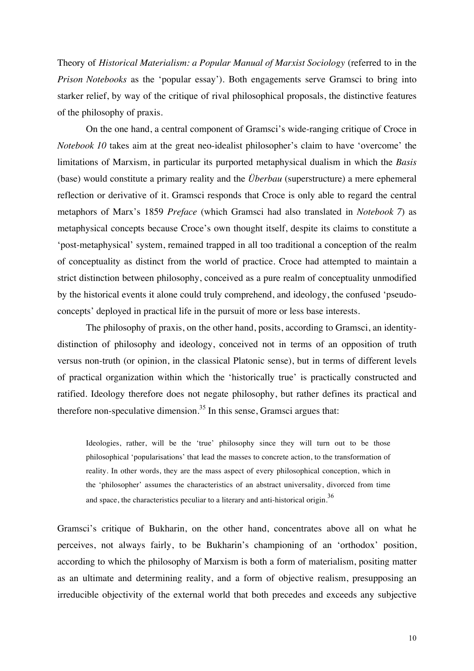Theory of *Historical Materialism: a Popular Manual of Marxist Sociology* (referred to in the *Prison Notebooks* as the 'popular essay'). Both engagements serve Gramsci to bring into starker relief, by way of the critique of rival philosophical proposals, the distinctive features of the philosophy of praxis.

On the one hand, a central component of Gramsci's wide-ranging critique of Croce in *Notebook 10* takes aim at the great neo-idealist philosopher's claim to have 'overcome' the limitations of Marxism, in particular its purported metaphysical dualism in which the *Basis* (base) would constitute a primary reality and the *Überbau* (superstructure) a mere ephemeral reflection or derivative of it. Gramsci responds that Croce is only able to regard the central metaphors of Marx's 1859 *Preface* (which Gramsci had also translated in *Notebook 7*) as metaphysical concepts because Croce's own thought itself, despite its claims to constitute a 'post-metaphysical' system, remained trapped in all too traditional a conception of the realm of conceptuality as distinct from the world of practice. Croce had attempted to maintain a strict distinction between philosophy, conceived as a pure realm of conceptuality unmodified by the historical events it alone could truly comprehend, and ideology, the confused 'pseudoconcepts' deployed in practical life in the pursuit of more or less base interests.

The philosophy of praxis, on the other hand, posits, according to Gramsci, an identitydistinction of philosophy and ideology, conceived not in terms of an opposition of truth versus non-truth (or opinion, in the classical Platonic sense), but in terms of different levels of practical organization within which the 'historically true' is practically constructed and ratified. Ideology therefore does not negate philosophy, but rather defines its practical and therefore non-speculative dimension.<sup>35</sup> In this sense, Gramsci argues that:

Ideologies, rather, will be the 'true' philosophy since they will turn out to be those philosophical 'popularisations' that lead the masses to concrete action, to the transformation of reality. In other words, they are the mass aspect of every philosophical conception, which in the 'philosopher' assumes the characteristics of an abstract universality, divorced from time and space, the characteristics peculiar to a literary and anti-historical origin.<sup>36</sup>

Gramsci's critique of Bukharin, on the other hand, concentrates above all on what he perceives, not always fairly, to be Bukharin's championing of an 'orthodox' position, according to which the philosophy of Marxism is both a form of materialism, positing matter as an ultimate and determining reality, and a form of objective realism, presupposing an irreducible objectivity of the external world that both precedes and exceeds any subjective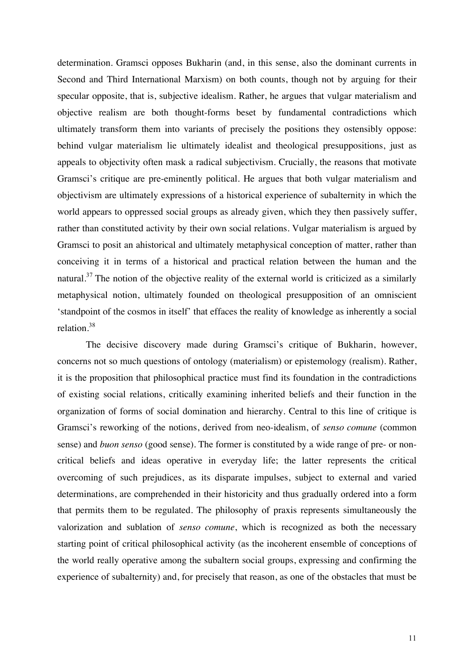determination. Gramsci opposes Bukharin (and, in this sense, also the dominant currents in Second and Third International Marxism) on both counts, though not by arguing for their specular opposite, that is, subjective idealism. Rather, he argues that vulgar materialism and objective realism are both thought-forms beset by fundamental contradictions which ultimately transform them into variants of precisely the positions they ostensibly oppose: behind vulgar materialism lie ultimately idealist and theological presuppositions, just as appeals to objectivity often mask a radical subjectivism. Crucially, the reasons that motivate Gramsci's critique are pre-eminently political. He argues that both vulgar materialism and objectivism are ultimately expressions of a historical experience of subalternity in which the world appears to oppressed social groups as already given, which they then passively suffer, rather than constituted activity by their own social relations. Vulgar materialism is argued by Gramsci to posit an ahistorical and ultimately metaphysical conception of matter, rather than conceiving it in terms of a historical and practical relation between the human and the natural.<sup>37</sup> The notion of the objective reality of the external world is criticized as a similarly metaphysical notion, ultimately founded on theological presupposition of an omniscient 'standpoint of the cosmos in itself' that effaces the reality of knowledge as inherently a social relation.<sup>38</sup>

The decisive discovery made during Gramsci's critique of Bukharin, however, concerns not so much questions of ontology (materialism) or epistemology (realism). Rather, it is the proposition that philosophical practice must find its foundation in the contradictions of existing social relations, critically examining inherited beliefs and their function in the organization of forms of social domination and hierarchy. Central to this line of critique is Gramsci's reworking of the notions, derived from neo-idealism, of *senso comune* (common sense) and *buon senso* (good sense). The former is constituted by a wide range of pre- or noncritical beliefs and ideas operative in everyday life; the latter represents the critical overcoming of such prejudices, as its disparate impulses, subject to external and varied determinations, are comprehended in their historicity and thus gradually ordered into a form that permits them to be regulated. The philosophy of praxis represents simultaneously the valorization and sublation of *senso comune*, which is recognized as both the necessary starting point of critical philosophical activity (as the incoherent ensemble of conceptions of the world really operative among the subaltern social groups, expressing and confirming the experience of subalternity) and, for precisely that reason, as one of the obstacles that must be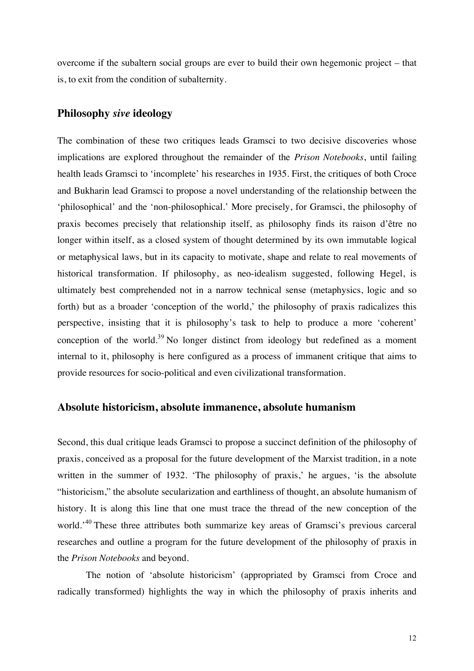overcome if the subaltern social groups are ever to build their own hegemonic project – that is, to exit from the condition of subalternity.

## **Philosophy** *sive* **ideology**

The combination of these two critiques leads Gramsci to two decisive discoveries whose implications are explored throughout the remainder of the *Prison Notebooks*, until failing health leads Gramsci to 'incomplete' his researches in 1935. First, the critiques of both Croce and Bukharin lead Gramsci to propose a novel understanding of the relationship between the 'philosophical' and the 'non-philosophical.' More precisely, for Gramsci, the philosophy of praxis becomes precisely that relationship itself, as philosophy finds its raison d'être no longer within itself, as a closed system of thought determined by its own immutable logical or metaphysical laws, but in its capacity to motivate, shape and relate to real movements of historical transformation. If philosophy, as neo-idealism suggested, following Hegel, is ultimately best comprehended not in a narrow technical sense (metaphysics, logic and so forth) but as a broader 'conception of the world,' the philosophy of praxis radicalizes this perspective, insisting that it is philosophy's task to help to produce a more 'coherent' conception of the world.<sup>39</sup> No longer distinct from ideology but redefined as a moment internal to it, philosophy is here configured as a process of immanent critique that aims to provide resources for socio-political and even civilizational transformation.

#### **Absolute historicism, absolute immanence, absolute humanism**

Second, this dual critique leads Gramsci to propose a succinct definition of the philosophy of praxis, conceived as a proposal for the future development of the Marxist tradition, in a note written in the summer of 1932. 'The philosophy of praxis,' he argues, 'is the absolute "historicism," the absolute secularization and earthliness of thought, an absolute humanism of history. It is along this line that one must trace the thread of the new conception of the world.<sup>40</sup> These three attributes both summarize key areas of Gramsci's previous carceral researches and outline a program for the future development of the philosophy of praxis in the *Prison Notebooks* and beyond.

The notion of 'absolute historicism' (appropriated by Gramsci from Croce and radically transformed) highlights the way in which the philosophy of praxis inherits and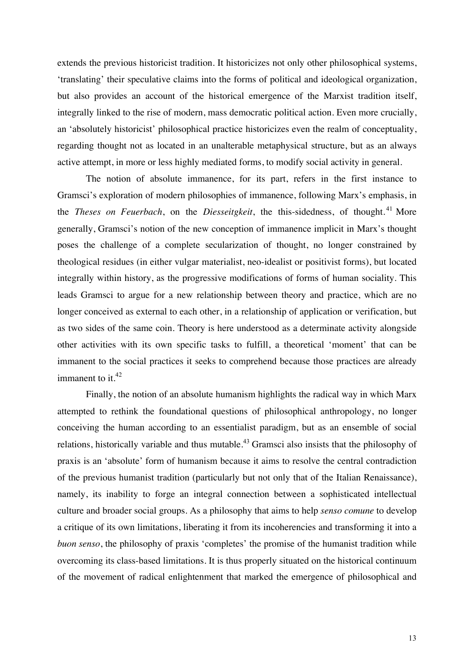extends the previous historicist tradition. It historicizes not only other philosophical systems, 'translating' their speculative claims into the forms of political and ideological organization, but also provides an account of the historical emergence of the Marxist tradition itself, integrally linked to the rise of modern, mass democratic political action. Even more crucially, an 'absolutely historicist' philosophical practice historicizes even the realm of conceptuality, regarding thought not as located in an unalterable metaphysical structure, but as an always active attempt, in more or less highly mediated forms, to modify social activity in general.

The notion of absolute immanence, for its part, refers in the first instance to Gramsci's exploration of modern philosophies of immanence, following Marx's emphasis, in the *Theses on Feuerbach*, on the *Diesseitgkeit*, the this-sidedness, of thought.<sup>41</sup> More generally, Gramsci's notion of the new conception of immanence implicit in Marx's thought poses the challenge of a complete secularization of thought, no longer constrained by theological residues (in either vulgar materialist, neo-idealist or positivist forms), but located integrally within history, as the progressive modifications of forms of human sociality. This leads Gramsci to argue for a new relationship between theory and practice, which are no longer conceived as external to each other, in a relationship of application or verification, but as two sides of the same coin. Theory is here understood as a determinate activity alongside other activities with its own specific tasks to fulfill, a theoretical 'moment' that can be immanent to the social practices it seeks to comprehend because those practices are already immanent to it. $42$ 

Finally, the notion of an absolute humanism highlights the radical way in which Marx attempted to rethink the foundational questions of philosophical anthropology, no longer conceiving the human according to an essentialist paradigm, but as an ensemble of social relations, historically variable and thus mutable.<sup>43</sup> Gramsci also insists that the philosophy of praxis is an 'absolute' form of humanism because it aims to resolve the central contradiction of the previous humanist tradition (particularly but not only that of the Italian Renaissance), namely, its inability to forge an integral connection between a sophisticated intellectual culture and broader social groups. As a philosophy that aims to help *senso comune* to develop a critique of its own limitations, liberating it from its incoherencies and transforming it into a *buon senso*, the philosophy of praxis 'completes' the promise of the humanist tradition while overcoming its class-based limitations. It is thus properly situated on the historical continuum of the movement of radical enlightenment that marked the emergence of philosophical and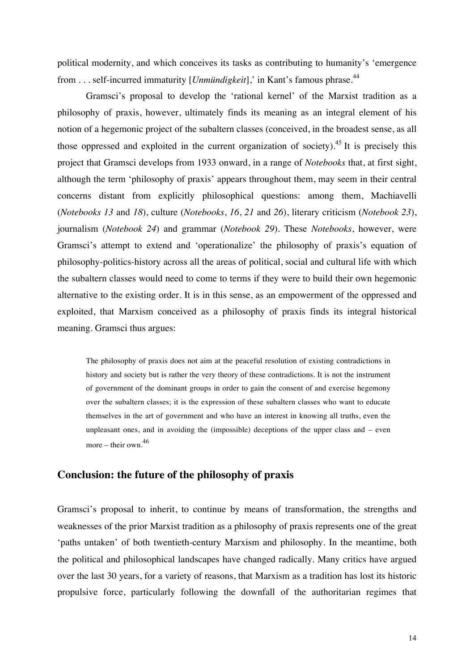political modernity, and which conceives its tasks as contributing to humanity's 'emergence from . . . self-incurred immaturity [*Unmündigkeit*],' in Kant's famous phrase.<sup>44</sup>

Gramsci's proposal to develop the 'rational kernel' of the Marxist tradition as a philosophy of praxis, however, ultimately finds its meaning as an integral element of his notion of a hegemonic project of the subaltern classes (conceived, in the broadest sense, as all those oppressed and exploited in the current organization of society).<sup>45</sup> It is precisely this project that Gramsci develops from 1933 onward, in a range of *Notebooks* that, at first sight, although the term 'philosophy of praxis' appears throughout them, may seem in their central concerns distant from explicitly philosophical questions: among them, Machiavelli (*Notebooks 13* and *18*), culture (*Notebooks*, *16*, *21* and *26*), literary criticism (*Notebook 23*), journalism (*Notebook 24*) and grammar (*Notebook 29*). These *Notebooks*, however, were Gramsci's attempt to extend and 'operationalize' the philosophy of praxis's equation of philosophy-politics-history across all the areas of political, social and cultural life with which the subaltern classes would need to come to terms if they were to build their own hegemonic alternative to the existing order. It is in this sense, as an empowerment of the oppressed and exploited, that Marxism conceived as a philosophy of praxis finds its integral historical meaning. Gramsci thus argues:

The philosophy of praxis does not aim at the peaceful resolution of existing contradictions in history and society but is rather the very theory of these contradictions. It is not the instrument of government of the dominant groups in order to gain the consent of and exercise hegemony over the subaltern classes; it is the expression of these subaltern classes who want to educate themselves in the art of government and who have an interest in knowing all truths, even the unpleasant ones, and in avoiding the (impossible) deceptions of the upper class and – even more – their own. $46$ 

# **Conclusion: the future of the philosophy of praxis**

Gramsci's proposal to inherit, to continue by means of transformation, the strengths and weaknesses of the prior Marxist tradition as a philosophy of praxis represents one of the great 'paths untaken' of both twentieth-century Marxism and philosophy. In the meantime, both the political and philosophical landscapes have changed radically. Many critics have argued over the last 30 years, for a variety of reasons, that Marxism as a tradition has lost its historic propulsive force, particularly following the downfall of the authoritarian regimes that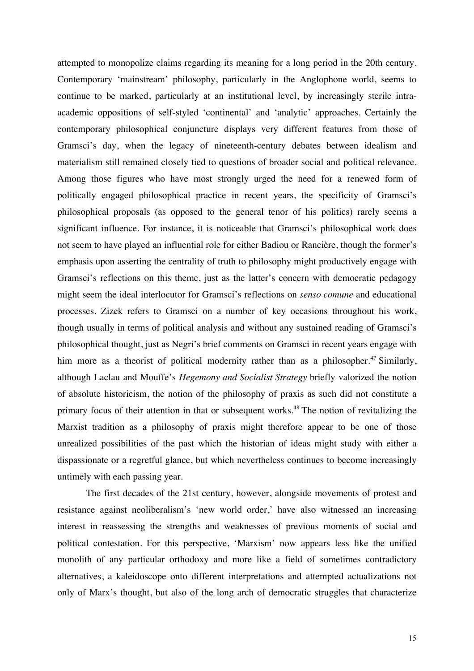attempted to monopolize claims regarding its meaning for a long period in the 20th century. Contemporary 'mainstream' philosophy, particularly in the Anglophone world, seems to continue to be marked, particularly at an institutional level, by increasingly sterile intraacademic oppositions of self-styled 'continental' and 'analytic' approaches. Certainly the contemporary philosophical conjuncture displays very different features from those of Gramsci's day, when the legacy of nineteenth-century debates between idealism and materialism still remained closely tied to questions of broader social and political relevance. Among those figures who have most strongly urged the need for a renewed form of politically engaged philosophical practice in recent years, the specificity of Gramsci's philosophical proposals (as opposed to the general tenor of his politics) rarely seems a significant influence. For instance, it is noticeable that Gramsci's philosophical work does not seem to have played an influential role for either Badiou or Rancière, though the former's emphasis upon asserting the centrality of truth to philosophy might productively engage with Gramsci's reflections on this theme, just as the latter's concern with democratic pedagogy might seem the ideal interlocutor for Gramsci's reflections on *senso comune* and educational processes. Zizek refers to Gramsci on a number of key occasions throughout his work, though usually in terms of political analysis and without any sustained reading of Gramsci's philosophical thought, just as Negri's brief comments on Gramsci in recent years engage with him more as a theorist of political modernity rather than as a philosopher.<sup>47</sup> Similarly, although Laclau and Mouffe's *Hegemony and Socialist Strategy* briefly valorized the notion of absolute historicism, the notion of the philosophy of praxis as such did not constitute a primary focus of their attention in that or subsequent works.<sup>48</sup> The notion of revitalizing the Marxist tradition as a philosophy of praxis might therefore appear to be one of those unrealized possibilities of the past which the historian of ideas might study with either a dispassionate or a regretful glance, but which nevertheless continues to become increasingly untimely with each passing year.

The first decades of the 21st century, however, alongside movements of protest and resistance against neoliberalism's 'new world order,' have also witnessed an increasing interest in reassessing the strengths and weaknesses of previous moments of social and political contestation. For this perspective, 'Marxism' now appears less like the unified monolith of any particular orthodoxy and more like a field of sometimes contradictory alternatives, a kaleidoscope onto different interpretations and attempted actualizations not only of Marx's thought, but also of the long arch of democratic struggles that characterize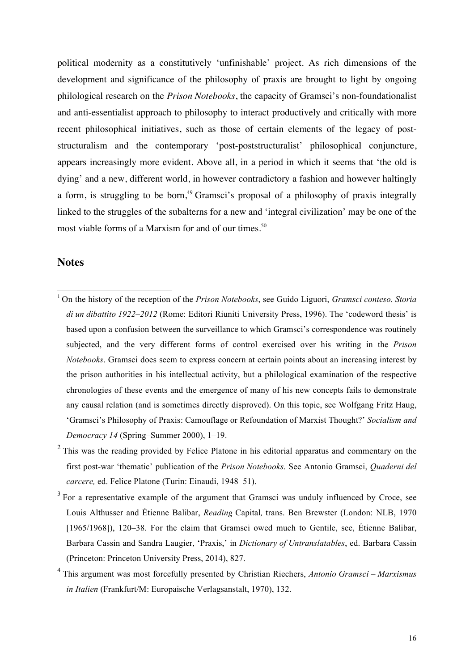political modernity as a constitutively 'unfinishable' project. As rich dimensions of the development and significance of the philosophy of praxis are brought to light by ongoing philological research on the *Prison Notebooks*, the capacity of Gramsci's non-foundationalist and anti-essentialist approach to philosophy to interact productively and critically with more recent philosophical initiatives, such as those of certain elements of the legacy of poststructuralism and the contemporary 'post-poststructuralist' philosophical conjuncture, appears increasingly more evident. Above all, in a period in which it seems that 'the old is dying' and a new, different world, in however contradictory a fashion and however haltingly a form, is struggling to be born,<sup>49</sup> Gramsci's proposal of a philosophy of praxis integrally linked to the struggles of the subalterns for a new and 'integral civilization' may be one of the most viable forms of a Marxism for and of our times.<sup>50</sup>

#### **Notes**

- 1 On the history of the reception of the *Prison Notebooks*, see Guido Liguori, *Gramsci conteso. Storia di un dibattito 1922–2012* (Rome: Editori Riuniti University Press, 1996). The 'codeword thesis' is based upon a confusion between the surveillance to which Gramsci's correspondence was routinely subjected, and the very different forms of control exercised over his writing in the *Prison Notebooks*. Gramsci does seem to express concern at certain points about an increasing interest by the prison authorities in his intellectual activity, but a philological examination of the respective chronologies of these events and the emergence of many of his new concepts fails to demonstrate any causal relation (and is sometimes directly disproved). On this topic, see Wolfgang Fritz Haug, 'Gramsci's Philosophy of Praxis: Camouflage or Refoundation of Marxist Thought?' *Socialism and Democracy 14* (Spring–Summer 2000), 1–19.
- <sup>2</sup> This was the reading provided by Felice Platone in his editorial apparatus and commentary on the first post-war 'thematic' publication of the *Prison Notebooks*. See Antonio Gramsci, *Quaderni del carcere,* ed. Felice Platone (Turin: Einaudi, 1948–51).
- $3$  For a representative example of the argument that Gramsci was unduly influenced by Croce, see Louis Althusser and Étienne Balibar, *Reading* Capital*,* trans. Ben Brewster (London: NLB, 1970 [1965/1968]), 120–38. For the claim that Gramsci owed much to Gentile, see, Étienne Balibar, Barbara Cassin and Sandra Laugier, 'Praxis,' in *Dictionary of Untranslatables*, ed. Barbara Cassin (Princeton: Princeton University Press, 2014), 827.
- <sup>4</sup> This argument was most forcefully presented by Christian Riechers, *Antonio Gramsci – Marxismus in Italien* (Frankfurt/M: Europaische Verlagsanstalt, 1970), 132.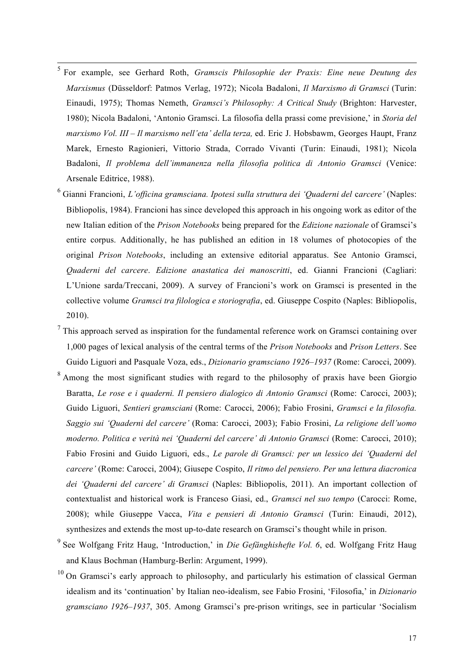- 5 For example, see Gerhard Roth, *Gramscis Philosophie der Praxis: Eine neue Deutung des Marxismus* (Düsseldorf: Patmos Verlag, 1972); Nicola Badaloni, *Il Marxismo di Gramsci* (Turin: Einaudi, 1975); Thomas Nemeth, *Gramsci's Philosophy: A Critical Study* (Brighton: Harvester, 1980); Nicola Badaloni, 'Antonio Gramsci. La filosofia della prassi come previsione,' in *Storia del marxismo Vol. III* – *Il marxismo nell'eta' della terza,* ed. Eric J. Hobsbawm, Georges Haupt, Franz Marek, Ernesto Ragionieri, Vittorio Strada, Corrado Vivanti (Turin: Einaudi, 1981); Nicola Badaloni, *Il problema dell'immanenza nella filosofia politica di Antonio Gramsci* (Venice: Arsenale Editrice, 1988).
- <sup>6</sup> Gianni Francioni, *L'officina gramsciana. Ipotesi sulla struttura dei 'Quaderni del* c*arcere'* (Naples: Bibliopolis, 1984). Francioni has since developed this approach in his ongoing work as editor of the new Italian edition of the *Prison Notebooks* being prepared for the *Edizione nazionale* of Gramsci's entire corpus. Additionally, he has published an edition in 18 volumes of photocopies of the original *Prison Notebooks*, including an extensive editorial apparatus. See Antonio Gramsci, *Quaderni del carcere*. *Edizione anastatica dei manoscritti*, ed. Gianni Francioni (Cagliari: L'Unione sarda/Treccani, 2009). A survey of Francioni's work on Gramsci is presented in the collective volume *Gramsci tra filologica e storiografia*, ed. Giuseppe Cospito (Naples: Bibliopolis, 2010).
- $<sup>7</sup>$  This approach served as inspiration for the fundamental reference work on Gramsci containing over</sup> 1,000 pages of lexical analysis of the central terms of the *Prison Notebooks* and *Prison Letters*. See Guido Liguori and Pasquale Voza, eds., *Dizionario gramsciano 1926–1937* (Rome: Carocci, 2009).
- <sup>8</sup> Among the most significant studies with regard to the philosophy of praxis have been Giorgio Baratta, *Le rose e i quaderni. Il pensiero dialogico di Antonio Gramsci* (Rome: Carocci, 2003); Guido Liguori, *Sentieri gramsciani* (Rome: Carocci, 2006); Fabio Frosini, *Gramsci e la filosofia. Saggio sui 'Quaderni del carcere'* (Roma: Carocci, 2003); Fabio Frosini, *La religione dell'uomo moderno. Politica e verità nei 'Quaderni del carcere' di Antonio Gramsci* (Rome: Carocci, 2010); Fabio Frosini and Guido Liguori, eds., *Le parole di Gramsci: per un lessico dei 'Quaderni del carcere'* (Rome: Carocci, 2004); Giusepe Cospito, *Il ritmo del pensiero. Per una lettura diacronica dei 'Quaderni del carcere' di Gramsci* (Naples: Bibliopolis, 2011). An important collection of contextualist and historical work is Franceso Giasi, ed., *Gramsci nel suo tempo* (Carocci: Rome, 2008); while Giuseppe Vacca, *Vita e pensieri di Antonio Gramsci* (Turin: Einaudi, 2012), synthesizes and extends the most up-to-date research on Gramsci's thought while in prison.
- <sup>9</sup> See Wolfgang Fritz Haug, 'Introduction,' in *Die Gefänghishefte Vol. 6*, ed. Wolfgang Fritz Haug and Klaus Bochman (Hamburg-Berlin: Argument, 1999).
- <sup>10</sup> On Gramsci's early approach to philosophy, and particularly his estimation of classical German idealism and its 'continuation' by Italian neo-idealism, see Fabio Frosini, 'Filosofia,' in *Dizionario gramsciano 1926–1937*, 305. Among Gramsci's pre-prison writings, see in particular 'Socialism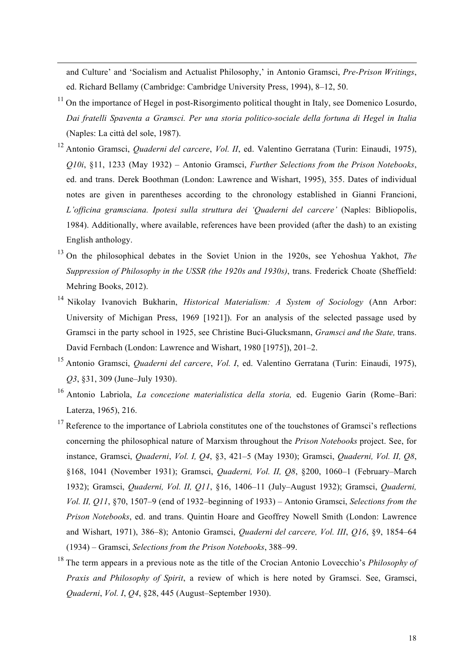and Culture' and 'Socialism and Actualist Philosophy,' in Antonio Gramsci, *Pre-Prison Writings*, ed. Richard Bellamy (Cambridge: Cambridge University Press, 1994), 8–12, 50.

 $\overline{a}$ 

- <sup>11</sup> On the importance of Hegel in post-Risorgimento political thought in Italy, see Domenico Losurdo, *Dai fratelli Spaventa a Gramsci. Per una storia politico-sociale della fortuna di Hegel in Italia*  (Naples: La città del sole, 1987).
- <sup>12</sup> Antonio Gramsci, *Quaderni del carcere*, *Vol. II*, ed. Valentino Gerratana (Turin: Einaudi, 1975), *Q10i*, §11, 1233 (May 1932) – Antonio Gramsci, *Further Selections from the Prison Notebooks*, ed. and trans. Derek Boothman (London: Lawrence and Wishart, 1995), 355. Dates of individual notes are given in parentheses according to the chronology established in Gianni Francioni, *L'officina gramsciana. Ipotesi sulla struttura dei 'Quaderni del carcere'* (Naples: Bibliopolis, 1984). Additionally, where available, references have been provided (after the dash) to an existing English anthology.
- <sup>13</sup> On the philosophical debates in the Soviet Union in the 1920s, see Yehoshua Yakhot, *The Suppression of Philosophy in the USSR (the 1920s and 1930s)*, trans. Frederick Choate (Sheffield: Mehring Books, 2012).
- <sup>14</sup> Nikolay Ivanovich Bukharin, *Historical Materialism: A System of Sociology* (Ann Arbor: University of Michigan Press, 1969 [1921]). For an analysis of the selected passage used by Gramsci in the party school in 1925, see Christine Buci-Glucksmann, *Gramsci and the State,* trans. David Fernbach (London: Lawrence and Wishart, 1980 [1975]), 201–2.
- <sup>15</sup> Antonio Gramsci, *Quaderni del carcere*, *Vol. I*, ed. Valentino Gerratana (Turin: Einaudi, 1975), *Q3*, §31, 309 (June–July 1930).
- <sup>16</sup> Antonio Labriola, *La concezione materialistica della storia,* ed. Eugenio Garin (Rome–Bari: Laterza, 1965), 216.
- $17$  Reference to the importance of Labriola constitutes one of the touchstones of Gramsci's reflections concerning the philosophical nature of Marxism throughout the *Prison Notebooks* project. See, for instance, Gramsci, *Quaderni*, *Vol. I, Q4*, §3, 421–5 (May 1930); Gramsci, *Quaderni, Vol. II, Q8*, §168, 1041 (November 1931); Gramsci, *Quaderni, Vol. II, Q8*, §200, 1060–1 (February–March 1932); Gramsci, *Quaderni, Vol. II, Q11*, §16, 1406–11 (July–August 1932); Gramsci, *Quaderni, Vol. II, Q11*, §70, 1507–9 (end of 1932–beginning of 1933) – Antonio Gramsci, *Selections from the Prison Notebooks*, ed. and trans. Quintin Hoare and Geoffrey Nowell Smith (London: Lawrence and Wishart, 1971), 386–8); Antonio Gramsci, *Quaderni del carcere, Vol. III*, *Q16*, §9, 1854–64 (1934) – Gramsci, *Selections from the Prison Notebooks*, 388–99.
- <sup>18</sup> The term appears in a previous note as the title of the Crocian Antonio Lovecchio's *Philosophy of Praxis and Philosophy of Spirit*, a review of which is here noted by Gramsci. See, Gramsci, *Quaderni*, *Vol. I*, *Q4*, §28, 445 (August–September 1930).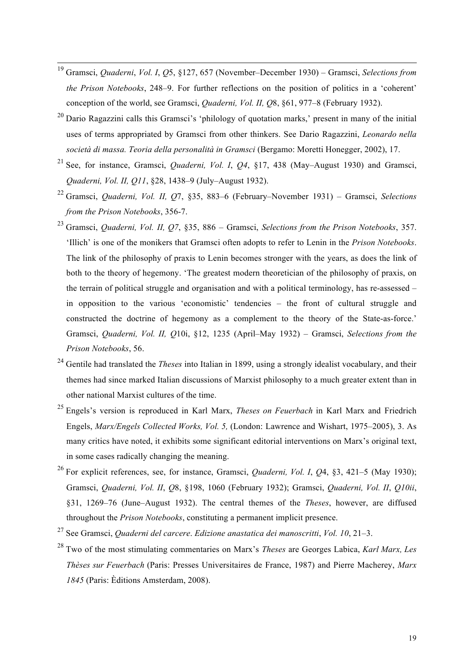- 19 Gramsci, *Quaderni*, *Vol. <sup>I</sup>*, *Q*5, §127, 657 (November–December 1930) Gramsci, *Selections from the Prison Notebooks*, 248–9. For further reflections on the position of politics in a 'coherent' conception of the world, see Gramsci, *Quaderni, Vol. II, Q*8, §61, 977–8 (February 1932).
- <sup>20</sup> Dario Ragazzini calls this Gramsci's 'philology of quotation marks,' present in many of the initial uses of terms appropriated by Gramsci from other thinkers. See Dario Ragazzini, *Leonardo nella società di massa. Teoria della personalità in Gramsci* (Bergamo: Moretti Honegger, 2002), 17.
- <sup>21</sup> See, for instance, Gramsci, *Quaderni, Vol. I*, *Q4*, §17, 438 (May–August 1930) and Gramsci, *Quaderni, Vol. II, Q11*, §28, 1438–9 (July–August 1932).
- <sup>22</sup> Gramsci, *Quaderni, Vol. II, Q*7, §35, 883–6 (February–November 1931) Gramsci, *Selections from the Prison Notebooks*, 356-7.
- <sup>23</sup> Gramsci, *Quaderni, Vol. II, Q7*, §35, 886 Gramsci, *Selections from the Prison Notebooks*, 357. 'Illich' is one of the monikers that Gramsci often adopts to refer to Lenin in the *Prison Notebooks*. The link of the philosophy of praxis to Lenin becomes stronger with the years, as does the link of both to the theory of hegemony. 'The greatest modern theoretician of the philosophy of praxis, on the terrain of political struggle and organisation and with a political terminology, has re-assessed – in opposition to the various 'economistic' tendencies – the front of cultural struggle and constructed the doctrine of hegemony as a complement to the theory of the State-as-force.' Gramsci, *Quaderni, Vol. II, Q*10i, §12, 1235 (April–May 1932) – Gramsci, *Selections from the Prison Notebooks*, 56.
- <sup>24</sup> Gentile had translated the *Theses* into Italian in 1899, using a strongly idealist vocabulary, and their themes had since marked Italian discussions of Marxist philosophy to a much greater extent than in other national Marxist cultures of the time.
- <sup>25</sup> Engels's version is reproduced in Karl Marx, *Theses on Feuerbach* in Karl Marx and Friedrich Engels, *Marx/Engels Collected Works, Vol. 5,* (London: Lawrence and Wishart, 1975–2005), 3. As many critics have noted, it exhibits some significant editorial interventions on Marx's original text, in some cases radically changing the meaning.
- <sup>26</sup> For explicit references, see, for instance, Gramsci, *Quaderni, Vol. I*, *Q*4, §3, 421–5 (May 1930); Gramsci, *Quaderni, Vol. II*, *Q*8, §198, 1060 (February 1932); Gramsci, *Quaderni, Vol. II*, *Q10ii*, §31, 1269–76 (June–August 1932). The central themes of the *Theses*, however, are diffused throughout the *Prison Notebooks*, constituting a permanent implicit presence.
- <sup>27</sup> See Gramsci, *Quaderni del carcere*. *Edizione anastatica dei manoscritti*, *Vol. 10*, 21–3.
- <sup>28</sup> Two of the most stimulating commentaries on Marx's *Theses* are Georges Labica, *Karl Marx, Les Thèses sur Feuerbach* (Paris: Presses Universitaires de France, 1987) and Pierre Macherey, *Marx 1845* (Paris: Èditions Amsterdam, 2008).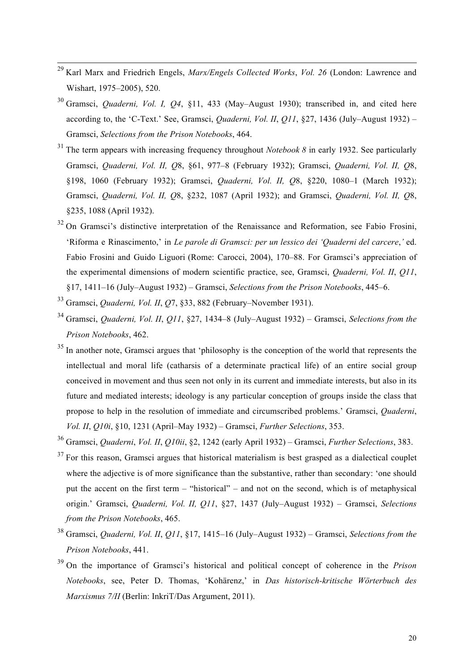- 29 Karl Marx and Friedrich Engels, *Marx/Engels Collected Works*, *Vol. 26* (London: Lawrence and Wishart, 1975–2005), 520.
- <sup>30</sup> Gramsci, *Quaderni, Vol. I, Q4*, §11, 433 (May–August 1930); transcribed in, and cited here according to, the 'C-Text.' See, Gramsci, *Quaderni, Vol. II*, *Q11*, §27, 1436 (July–August 1932) – Gramsci, *Selections from the Prison Notebooks*, 464.
- <sup>31</sup> The term appears with increasing frequency throughout *Notebook 8* in early 1932. See particularly Gramsci, *Quaderni, Vol. II, Q*8, §61, 977–8 (February 1932); Gramsci, *Quaderni, Vol. II, Q*8, §198, 1060 (February 1932); Gramsci, *Quaderni, Vol. II, Q*8, §220, 1080–1 (March 1932); Gramsci, *Quaderni, Vol. II, Q*8, §232, 1087 (April 1932); and Gramsci, *Quaderni, Vol. II, Q*8, §235, 1088 (April 1932).
- <sup>32</sup> On Gramsci's distinctive interpretation of the Renaissance and Reformation, see Fabio Frosini, 'Riforma e Rinascimento,' in *Le parole di Gramsci: per un lessico dei 'Quaderni del carcere*,*'* ed. Fabio Frosini and Guido Liguori (Rome: Carocci, 2004), 170–88. For Gramsci's appreciation of the experimental dimensions of modern scientific practice, see, Gramsci, *Quaderni, Vol. II*, *Q11*, §17, 1411–16 (July–August 1932) – Gramsci, *Selections from the Prison Notebooks*, 445–6.
- <sup>33</sup> Gramsci, *Quaderni, Vol. II*, *Q*7, §33, 882 (February–November 1931).
- <sup>34</sup> Gramsci, *Quaderni, Vol. II*, *Q11*, §27, 1434–8 (July–August 1932) Gramsci, *Selections from the Prison Notebooks*, 462.
- <sup>35</sup> In another note, Gramsci argues that 'philosophy is the conception of the world that represents the intellectual and moral life (catharsis of a determinate practical life) of an entire social group conceived in movement and thus seen not only in its current and immediate interests, but also in its future and mediated interests; ideology is any particular conception of groups inside the class that propose to help in the resolution of immediate and circumscribed problems.' Gramsci, *Quaderni*, *Vol. II*, *Q10i*, §10, 1231 (April–May 1932) – Gramsci, *Further Selections*, 353.
- <sup>36</sup> Gramsci, *Quaderni*, *Vol. II*, *Q10ii*, §2, 1242 (early April 1932) Gramsci, *Further Selections*, 383.
- $37$  For this reason, Gramsci argues that historical materialism is best grasped as a dialectical couplet where the adjective is of more significance than the substantive, rather than secondary: 'one should put the accent on the first term – "historical" – and not on the second, which is of metaphysical origin.' Gramsci, *Quaderni, Vol. II, Q11*, §27, 1437 (July–August 1932) – Gramsci, *Selections from the Prison Notebooks*, 465.
- <sup>38</sup> Gramsci, *Quaderni, Vol. II*, *Q11*, §17, 1415–16 (July–August 1932) Gramsci, *Selections from the Prison Notebooks*, 441.
- <sup>39</sup> On the importance of Gramsci's historical and political concept of coherence in the *Prison Notebooks*, see, Peter D. Thomas, 'Kohärenz,' in *Das historisch-kritische Wörterbuch des Marxismus 7/II* (Berlin: InkriT/Das Argument, 2011).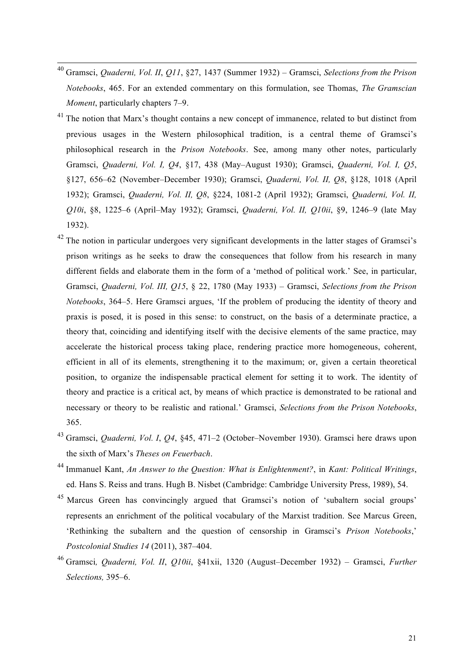- 40 Gramsci, *Quaderni, Vol. II*, *Q11*, §27, 1437 (Summer 1932) Gramsci, *Selections from the Prison Notebooks*, 465. For an extended commentary on this formulation, see Thomas, *The Gramscian Moment*, particularly chapters 7–9.
- <sup>41</sup> The notion that Marx's thought contains a new concept of immanence, related to but distinct from previous usages in the Western philosophical tradition, is a central theme of Gramsci's philosophical research in the *Prison Notebooks*. See, among many other notes, particularly Gramsci, *Quaderni, Vol. I, Q4*, §17, 438 (May–August 1930); Gramsci, *Quaderni, Vol. I, Q5*, §127, 656–62 (November–December 1930); Gramsci, *Quaderni, Vol. II, Q8*, §128, 1018 (April 1932); Gramsci, *Quaderni, Vol. II, Q8*, §224, 1081-2 (April 1932); Gramsci, *Quaderni, Vol. II, Q10i*, §8, 1225–6 (April–May 1932); Gramsci, *Quaderni, Vol. II, Q10ii*, §9, 1246–9 (late May 1932).
- <sup>42</sup> The notion in particular undergoes very significant developments in the latter stages of Gramsci's prison writings as he seeks to draw the consequences that follow from his research in many different fields and elaborate them in the form of a 'method of political work.' See, in particular, Gramsci, *Quaderni, Vol. III, Q15*, § 22, 1780 (May 1933) – Gramsci, *Selections from the Prison Notebooks*, 364–5. Here Gramsci argues, 'If the problem of producing the identity of theory and praxis is posed, it is posed in this sense: to construct, on the basis of a determinate practice, a theory that, coinciding and identifying itself with the decisive elements of the same practice, may accelerate the historical process taking place, rendering practice more homogeneous, coherent, efficient in all of its elements, strengthening it to the maximum; or, given a certain theoretical position, to organize the indispensable practical element for setting it to work. The identity of theory and practice is a critical act, by means of which practice is demonstrated to be rational and necessary or theory to be realistic and rational.' Gramsci, *Selections from the Prison Notebooks*, 365.
- <sup>43</sup> Gramsci, *Quaderni, Vol. I*, *Q4*, §45, 471–2 (October–November 1930). Gramsci here draws upon the sixth of Marx's *Theses on Feuerbach*.
- <sup>44</sup> Immanuel Kant, *An Answer to the Question: What is Enlightenment?*, in *Kant: Political Writings*, ed. Hans S. Reiss and trans. Hugh B. Nisbet (Cambridge: Cambridge University Press, 1989), 54.
- <sup>45</sup> Marcus Green has convincingly argued that Gramsci's notion of 'subaltern social groups' represents an enrichment of the political vocabulary of the Marxist tradition. See Marcus Green, 'Rethinking the subaltern and the question of censorship in Gramsci's *Prison Notebooks*,' *Postcolonial Studies 14* (2011), 387–404.
- <sup>46</sup> Gramsci*, Quaderni, Vol. II*, *Q10ii*, §41xii, 1320 (August–December 1932) Gramsci, *Further Selections,* 395–6.